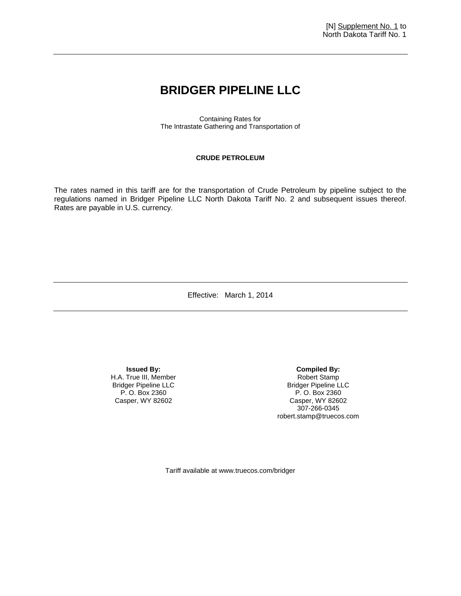## **BRIDGER PIPELINE LLC**

Containing Rates for The Intrastate Gathering and Transportation of

## **CRUDE PETROLEUM**

The rates named in this tariff are for the transportation of Crude Petroleum by pipeline subject to the regulations named in Bridger Pipeline LLC North Dakota Tariff No. 2 and subsequent issues thereof. Rates are payable in U.S. currency.

Effective: March 1, 2014

**Issued By:**  H.A. True III, Member Bridger Pipeline LLC P. O. Box 2360 Casper, WY 82602

**Compiled By:**  Robert Stamp Bridger Pipeline LLC P. O. Box 2360 Casper, WY 82602 307-266-0345 robert.stamp@truecos.com

Tariff available at www.truecos.com/bridger